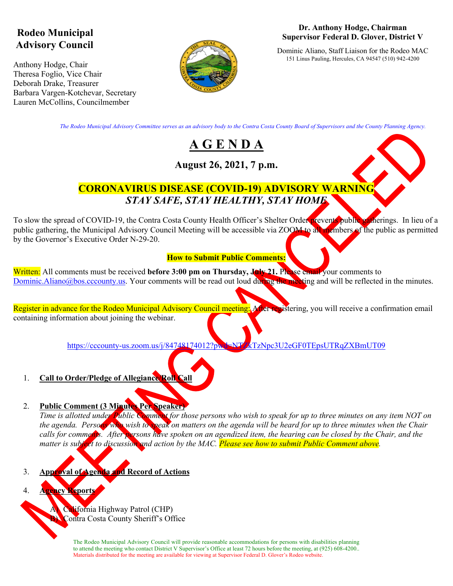# **Rodeo Municipal Advisory Council**

Anthony Hodge, Chair Theresa Foglio, Vice Chair Deborah Drake, Treasurer Barbara Vargen-Kotchevar, Secretary Lauren McCollins, Councilmember



#### **Dr. Anthony Hodge, Chairman Supervisor Federal D. Glover, District V**

Dominic Aliano, Staff Liaison for the Rodeo MAC 151 Linus Pauling, Hercules, CA 94547 (510) 942-4200

*The Rodeo Municipal Advisory Committee serves as an advisory body to the Contra Costa County Board of Supervisors and the County Planning Agency.*

# **A G E N D A**

## **August 26, 2021, 7 p.m.**



## **CORONAVIRUS DISEASE (COVID-19) ADVISORY WARNING** *STAY SAFE, STAY HEALTHY, STAY HOME*

To slow the spread of COVID-19, the Contra Costa County Health Officer's Shelter Order prevents public gatherings. In lieu of a public gathering, the Municipal Advisory Council Meeting will be accessible via ZOOM to all members of the public as permitted by the Governor's Executive Order N-29-20.

### **How to Submit Public Comments:**

Written: All comments must be received **before 3:00 pm on Thursday, July 21.** Please email your comments to Dominic.Aliano@bos.cccounty.us. Your comments will be read out loud during the meeting and will be reflected in the minutes.

Register in advance for the Rodeo Municipal Advisory Council meeting: After repistering, you will receive a confirmation email containing information about joining the webinar.

https://cccounty-us.zoom.us/j/84748174012?pwd=NTZkTzNpc3U2eGF0TEpsUTRqZXBmUT09

1. **Call to Order/Pledge of Allegiance/Roll Call**

## 2. **Public Comment (3 Minutes Per Speaker)**

*Time is allotted under Public Comment for those persons who wish to speak for up to three minutes on any item NOT on the agenda. Persons who wish to speak on matters on the agenda will be heard for up to three minutes when the Chair calls for comments. After persons have spoken on an agendized item, the hearing can be closed by the Chair, and the matter is subject to discussion and action by the MAC. Please see how to submit Public Comment above.* 

- 3. **Approval of Agenda and Record of Actions**
- 4. **Agency Reports**

California Highway Patrol (CHP) Contra Costa County Sheriff's Office

The Rodeo Municipal Advisory Council will provide reasonable accommodations for persons with disabilities planning to attend the meeting who contact District V Supervisor's Office at least 72 hours before the meeting, at (925) 608-4200.. Materials distributed for the meeting are available for viewing at Supervisor Federal D. Glover's Rodeo website.